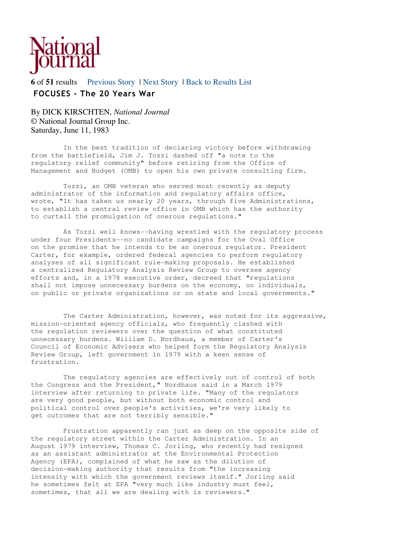

**6** of **51** results Previous Story | Next Story | Back to Results List FOCUSES - The 20 Years War

By DICK KIRSCHTEN, *National Journal* © National Journal Group Inc. Saturday, June 11, 1983

 In the best tradition of declaring victory before withdrawing from the battlefield, Jim J. Tozzi dashed off "a note to the regulatory relief community" before retiring from the Office of Management and Budget (OMB) to open his own private consulting firm.

 Tozzi, an OMB veteran who served most recently as deputy administrator of the information and regulatory affairs office, wrote, "It has taken us nearly 20 years, through five Administrations, to establish a central review office in OMB which has the authority to curtail the promulgation of onerous regulations."

 As Tozzi well knows--having wrestled with the regulatory process under four Presidents--no candidate campaigns for the Oval Office on the promise that he intends to be an onerous regulator. President Carter, for example, ordered federal agencies to perform regulatory analyses of all significant rule-making proposals. He established a centralized Regulatory Analysis Review Group to oversee agency efforts and, in a 1978 executive order, decreed that "regulations shall not impose unnecessary burdens on the economy, on individuals, on public or private organizations or on state and local governments."

 The Carter Administration, however, was noted for its aggressive, mission-oriented agency officials, who frequently clashed with the regulation reviewers over the question of what constituted unnecessary burdens. William D. Nordhaus, a member of Carter's Council of Economic Advisers who helped form the Regulatory Analysis Review Group, left government in 1979 with a keen sense of frustration.

 The regulatory agencies are effectively out of control of both the Congress and the President," Nordhaus said in a March 1979 interview after returning to private life. "Many of the regulators are very good people, but without both economic control and political control over people's activities, we're very likely to get outcomes that are not terribly sensible."

 Frustration apparently ran just as deep on the opposite side of the regulatory street within the Carter Administration. In an August 1979 interview, Thomas C. Jorling, who recently had resigned as an assistant administrator at the Environmental Protection Agency (EPA), complained of what he saw as the dilution of decision-making authority that results from "the increasing intensity with which the government reviews itself." Jorling said he sometimes felt at EPA "very much like industry must feel, sometimes, that all we are dealing with is reviewers."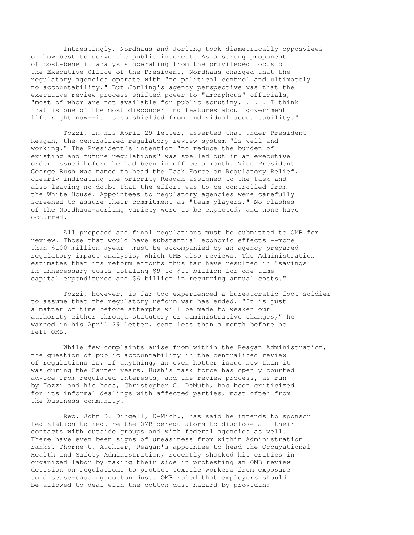Intrestingly, Nordhaus and Jorling took diametrically opposviews on how best to serve the public interest. As a strong proponent of cost-benefit analysis operating from the privileged locus of the Executive Office of the President, Nordhaus charged that the regulatory agencies operate with "no political control and ultimately no accountability." But Jorling's agency perspective was that the executive review process shifted power to "amorphous" officials, "most of whom are not available for public scrutiny. . . . I think that is one of the most disconcerting features about government life right now--it is so shielded from individual accountability."

 Tozzi, in his April 29 letter, asserted that under President Reagan, the centralized regulatory review system "is well and working." The President's intention "to reduce the burden of existing and future regulations" was spelled out in an executive order issued before he had been in office a month. Vice President George Bush was named to head the Task Force on Regulatory Relief, clearly indicating the priority Reagan assigned to the task and also leaving no doubt that the effort was to be controlled from the White House. Appointees to regulatory agencies were carefully screened to assure their commitment as "team players." No clashes of the Nordhaus-Jorling variety were to be expected, and none have occurred.

 All proposed and final regulations must be submitted to OMB for review. Those that would have substantial economic effects --more than \$100 million ayear--must be accompanied by an agency-prepared regulatory impact analysis, which OMB also reviews. The Administration estimates that its reform efforts thus far have resulted in "savings in unnecessary costs totaling \$9 to \$11 billion for one-time capital expenditures and \$6 billion in recurring annual costs."

 Tozzi, however, is far too experienced a bureaucratic foot soldier to assume that the regulatory reform war has ended. "It is just a matter of time before attempts will be made to weaken our authority either through statutory or administrative changes," he warned in his April 29 letter, sent less than a month before he left OMB.

 While few complaints arise from within the Reagan Administration, the question of public accountability in the centralized review of regulations is, if anything, an even hotter issue now than it was during the Carter years. Bush's task force has openly courted advice from regulated interests, and the review process, as run by Tozzi and his boss, Christopher C. DeMuth, has been criticized for its informal dealings with affected parties, most often from the business community.

 Rep. John D. Dingell, D-Mich., has said he intends to sponsor legislation to require the OMB deregulators to disclose all their contacts with outside groups and with federal agencies as well. There have even been signs of uneasiness from within Administration ranks. Thorne G. Auchter, Reagan's appointee to head the Occupational Health and Safety Administration, recently shocked his critics in organized labor by taking their side in protesting an OMB review decision on regulations to protect textile workers from exposure to disease-causing cotton dust. OMB ruled that employers should be allowed to deal with the cotton dust hazard by providing